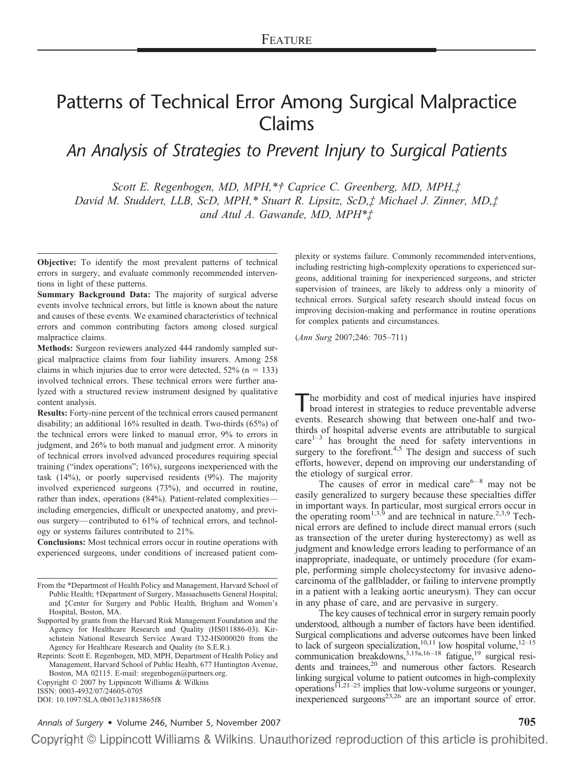# Patterns of Technical Error Among Surgical Malpractice Claims

*An Analysis of Strategies to Prevent Injury to Surgical Patients*

*Scott E. Regenbogen, MD, MPH,\*† Caprice C. Greenberg, MD, MPH,‡ David M. Studdert, LLB, ScD, MPH,\* Stuart R. Lipsitz, ScD,‡ Michael J. Zinner, MD,‡ and Atul A. Gawande, MD, MPH\*‡*

**Objective:** To identify the most prevalent patterns of technical errors in surgery, and evaluate commonly recommended interventions in light of these patterns.

**Methods:** Surgeon reviewers analyzed 444 randomly sampled surgical malpractice claims from four liability insurers. Among 258 claims in which injuries due to error were detected,  $52\%$  (n = 133) involved technical errors. These technical errors were further analyzed with a structured review instrument designed by qualitative content analysis.

**Results:** Forty-nine percent of the technical errors caused permanent disability; an additional 16% resulted in death. Two-thirds (65%) of the technical errors were linked to manual error, 9% to errors in judgment, and 26% to both manual and judgment error. A minority of technical errors involved advanced procedures requiring special training ("index operations"; 16%), surgeons inexperienced with the task (14%), or poorly supervised residents (9%). The majority involved experienced surgeons (73%), and occurred in routine, rather than index, operations (84%). Patient-related complexities including emergencies, difficult or unexpected anatomy, and previous surgery—contributed to 61% of technical errors, and technology or systems failures contributed to 21%.

**Conclusions:** Most technical errors occur in routine operations with experienced surgeons, under conditions of increased patient com-

Reprints: Scott E. Regenbogen, MD, MPH, Department of Health Policy and Management, Harvard School of Public Health, 677 Huntington Avenue, Boston, MA 02115. E-mail: sregenbogen@partners.org. Copyright © 2007 by Lippincott Williams & Wilkins

ISSN: 0003-4932/07/24605-0705

DOI: 10.1097/SLA.0b013e31815865f8

plexity or systems failure. Commonly recommended interventions, including restricting high-complexity operations to experienced surgeons, additional training for inexperienced surgeons, and stricter supervision of trainees, are likely to address only a minority of technical errors. Surgical safety research should instead focus on improving decision-making and performance in routine operations for complex patients and circumstances.

(*Ann Surg* 2007;246: 705–711)

The morbidity and cost of medical injuries have inspired broad interest in strategies to reduce preventable adverse events. Research showing that between one-half and twothirds of hospital adverse events are attributable to surgical  $care<sup>1-3</sup>$  has brought the need for safety interventions in surgery to the forefront. $4,5$  The design and success of such efforts, however, depend on improving our understanding of the etiology of surgical error.

The causes of error in medical care $6-8$  may not be easily generalized to surgery because these specialties differ in important ways. In particular, most surgical errors occur in the operating room<sup>1,3,5</sup> and are technical in nature.<sup>2,3,9</sup> Technical errors are defined to include direct manual errors (such as transection of the ureter during hysterectomy) as well as judgment and knowledge errors leading to performance of an inappropriate, inadequate, or untimely procedure (for example, performing simple cholecystectomy for invasive adenocarcinoma of the gallbladder, or failing to intervene promptly in a patient with a leaking aortic aneurysm). They can occur in any phase of care, and are pervasive in surgery.

The key causes of technical error in surgery remain poorly understood, although a number of factors have been identified. Surgical complications and adverse outcomes have been linked to lack of surgeon specialization,<sup>10,11</sup> low hospital volume,<sup>12–15</sup> communication breakdowns,  $3,15a,16-18$  fatigue,  $19$  surgical residents and trainees,<sup>20</sup> and numerous other factors. Research linking surgical volume to patient outcomes in high-complexity operations $^{11,21-25}$  implies that low-volume surgeons or younger, inexperienced surgeons<sup>23,26</sup> are an important source of error.

*Annals of Surgery* • Volume 246, Number 5, November 2007 **705**

**Summary Background Data:** The majority of surgical adverse events involve technical errors, but little is known about the nature and causes of these events. We examined characteristics of technical errors and common contributing factors among closed surgical malpractice claims.

From the \*Department of Health Policy and Management, Harvard School of Public Health; †Department of Surgery, Massachusetts General Hospital; and ‡Center for Surgery and Public Health, Brigham and Women's Hospital, Boston, MA.

Supported by grants from the Harvard Risk Management Foundation and the Agency for Healthcare Research and Quality (HS011886-03). Kirschstein National Research Service Award T32-HS000020 from the Agency for Healthcare Research and Quality (to S.E.R.).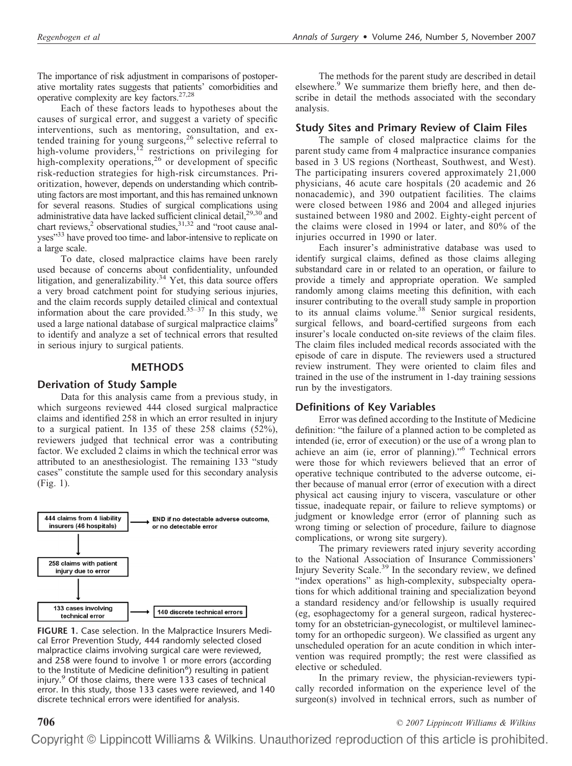The importance of risk adjustment in comparisons of postoperative mortality rates suggests that patients' comorbidities and operative complexity are key factors.27,28

Each of these factors leads to hypotheses about the causes of surgical error, and suggest a variety of specific interventions, such as mentoring, consultation, and extended training for young surgeons,<sup>26</sup> selective referral to high-volume providers, $12$  restrictions on privileging for high-complexity operations, $26$  or development of specific risk-reduction strategies for high-risk circumstances. Prioritization, however, depends on understanding which contributing factors are most important, and this has remained unknown for several reasons. Studies of surgical complications using administrative data have lacked sufficient clinical detail,<sup>29,30</sup> and chart reviews, $2$  observational studies, $31,32$  and "root cause analyses"33 have proved too time- and labor-intensive to replicate on a large scale.

To date, closed malpractice claims have been rarely used because of concerns about confidentiality, unfounded litigation, and generalizability.<sup>34</sup> Yet, this data source offers a very broad catchment point for studying serious injuries, and the claim records supply detailed clinical and contextual information about the care provided. $35-37$  In this study, we used a large national database of surgical malpractice claims<sup>9</sup> to identify and analyze a set of technical errors that resulted in serious injury to surgical patients.

#### **METHODS**

#### **Derivation of Study Sample**

Data for this analysis came from a previous study, in which surgeons reviewed 444 closed surgical malpractice claims and identified 258 in which an error resulted in injury to a surgical patient. In 135 of these 258 claims (52%), reviewers judged that technical error was a contributing factor. We excluded 2 claims in which the technical error was attributed to an anesthesiologist. The remaining 133 "study cases" constitute the sample used for this secondary analysis (Fig. 1).



**FIGURE 1.** Case selection. In the Malpractice Insurers Medical Error Prevention Study, 444 randomly selected closed malpractice claims involving surgical care were reviewed, and 258 were found to involve 1 or more errors (according to the Institute of Medicine definition<sup>6</sup>) resulting in patient injury.9 Of those claims, there were 133 cases of technical error. In this study, those 133 cases were reviewed, and 140 discrete technical errors were identified for analysis.

The methods for the parent study are described in detail elsewhere.<sup>9</sup> We summarize them briefly here, and then describe in detail the methods associated with the secondary analysis.

### **Study Sites and Primary Review of Claim Files**

The sample of closed malpractice claims for the parent study came from 4 malpractice insurance companies based in 3 US regions (Northeast, Southwest, and West). The participating insurers covered approximately 21,000 physicians, 46 acute care hospitals (20 academic and 26 nonacademic), and 390 outpatient facilities. The claims were closed between 1986 and 2004 and alleged injuries sustained between 1980 and 2002. Eighty-eight percent of the claims were closed in 1994 or later, and 80% of the injuries occurred in 1990 or later.

Each insurer's administrative database was used to identify surgical claims, defined as those claims alleging substandard care in or related to an operation, or failure to provide a timely and appropriate operation. We sampled randomly among claims meeting this definition, with each insurer contributing to the overall study sample in proportion to its annual claims volume.<sup>38</sup> Senior surgical residents, surgical fellows, and board-certified surgeons from each insurer's locale conducted on-site reviews of the claim files. The claim files included medical records associated with the episode of care in dispute. The reviewers used a structured review instrument. They were oriented to claim files and trained in the use of the instrument in 1-day training sessions run by the investigators.

# **Definitions of Key Variables**

Error was defined according to the Institute of Medicine definition: "the failure of a planned action to be completed as intended (ie, error of execution) or the use of a wrong plan to achieve an aim (ie, error of planning)."6 Technical errors were those for which reviewers believed that an error of operative technique contributed to the adverse outcome, either because of manual error (error of execution with a direct physical act causing injury to viscera, vasculature or other tissue, inadequate repair, or failure to relieve symptoms) or judgment or knowledge error (error of planning such as wrong timing or selection of procedure, failure to diagnose complications, or wrong site surgery).

The primary reviewers rated injury severity according to the National Association of Insurance Commissioners' Injury Severity Scale.39 In the secondary review, we defined "index operations" as high-complexity, subspecialty operations for which additional training and specialization beyond a standard residency and/or fellowship is usually required (eg, esophagectomy for a general surgeon, radical hysterectomy for an obstetrician-gynecologist, or multilevel laminectomy for an orthopedic surgeon). We classified as urgent any unscheduled operation for an acute condition in which intervention was required promptly; the rest were classified as elective or scheduled.

In the primary review, the physician-reviewers typically recorded information on the experience level of the surgeon(s) involved in technical errors, such as number of

#### **706** *© 2007 Lippincott Williams & Wilkins*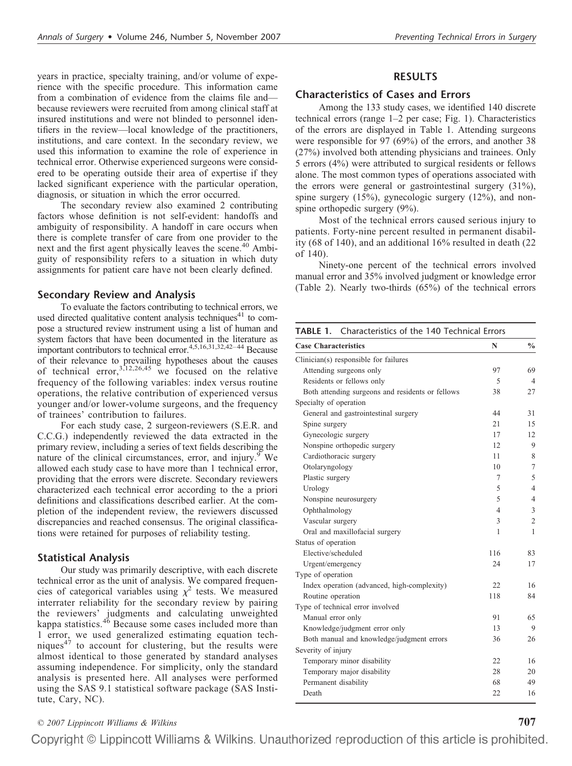years in practice, specialty training, and/or volume of experience with the specific procedure. This information came from a combination of evidence from the claims file and because reviewers were recruited from among clinical staff at insured institutions and were not blinded to personnel identifiers in the review—local knowledge of the practitioners, institutions, and care context. In the secondary review, we used this information to examine the role of experience in technical error. Otherwise experienced surgeons were considered to be operating outside their area of expertise if they lacked significant experience with the particular operation, diagnosis, or situation in which the error occurred.

The secondary review also examined 2 contributing factors whose definition is not self-evident: handoffs and ambiguity of responsibility. A handoff in care occurs when there is complete transfer of care from one provider to the next and the first agent physically leaves the scene.<sup>40</sup> Ambiguity of responsibility refers to a situation in which duty assignments for patient care have not been clearly defined.

#### **Secondary Review and Analysis**

To evaluate the factors contributing to technical errors, we used directed qualitative content analysis techniques<sup>41</sup> to compose a structured review instrument using a list of human and system factors that have been documented in the literature as important contributors to technical error.4,5,16,31,32,42–44 Because of their relevance to prevailing hypotheses about the causes of technical error,  $3,12,26,45$  we focused on the relative frequency of the following variables: index versus routine operations, the relative contribution of experienced versus younger and/or lower-volume surgeons, and the frequency of trainees' contribution to failures.

For each study case, 2 surgeon-reviewers (S.E.R. and C.C.G.) independently reviewed the data extracted in the primary review, including a series of text fields describing the nature of the clinical circumstances, error, and injury.<sup>9</sup> We allowed each study case to have more than 1 technical error, providing that the errors were discrete. Secondary reviewers characterized each technical error according to the a priori definitions and classifications described earlier. At the completion of the independent review, the reviewers discussed discrepancies and reached consensus. The original classifications were retained for purposes of reliability testing.

#### **Statistical Analysis**

Our study was primarily descriptive, with each discrete technical error as the unit of analysis. We compared frequencies of categorical variables using  $\chi^2$  tests. We measured interrater reliability for the secondary review by pairing the reviewers' judgments and calculating unweighted kappa statistics.<sup>46</sup> Because some cases included more than 1 error, we used generalized estimating equation techniques<sup>47</sup> to account for clustering, but the results were almost identical to those generated by standard analyses assuming independence. For simplicity, only the standard analysis is presented here. All analyses were performed using the SAS 9.1 statistical software package (SAS Institute, Cary, NC).

### **RESULTS**

#### **Characteristics of Cases and Errors**

Among the 133 study cases, we identified 140 discrete technical errors (range 1–2 per case; Fig. 1). Characteristics of the errors are displayed in Table 1. Attending surgeons were responsible for 97 (69%) of the errors, and another 38 (27%) involved both attending physicians and trainees. Only 5 errors (4%) were attributed to surgical residents or fellows alone. The most common types of operations associated with the errors were general or gastrointestinal surgery (31%), spine surgery (15%), gynecologic surgery (12%), and nonspine orthopedic surgery  $(9\%)$ .

Most of the technical errors caused serious injury to patients. Forty-nine percent resulted in permanent disability (68 of 140), and an additional 16% resulted in death (22 of 140).

Ninety-one percent of the technical errors involved manual error and 35% involved judgment or knowledge error (Table 2). Nearly two-thirds (65%) of the technical errors

| Characteristics of the 140 Technical Errors<br>TABLE 1. |     |                |  |  |
|---------------------------------------------------------|-----|----------------|--|--|
| <b>Case Characteristics</b>                             | N   | $\frac{0}{0}$  |  |  |
| Clinician(s) responsible for failures                   |     |                |  |  |
| Attending surgeons only                                 | 97  | 69             |  |  |
| Residents or fellows only                               | 5   | 4              |  |  |
| Both attending surgeons and residents or fellows        | 38  | 27             |  |  |
| Specialty of operation                                  |     |                |  |  |
| General and gastrointestinal surgery                    | 44  | 31             |  |  |
| Spine surgery                                           | 21  | 15             |  |  |
| Gynecologic surgery                                     | 17  | 12             |  |  |
| Nonspine orthopedic surgery                             | 12  | 9              |  |  |
| Cardiothoracic surgery                                  | 11  | 8              |  |  |
| Otolaryngology                                          | 10  | 7              |  |  |
| Plastic surgery                                         | 7   | 5              |  |  |
| Urology                                                 | 5   | 4              |  |  |
| Nonspine neurosurgery                                   | 5   | 4              |  |  |
| Ophthalmology                                           | 4   | 3              |  |  |
| Vascular surgery                                        | 3   | $\overline{2}$ |  |  |
| Oral and maxillofacial surgery                          | 1   | 1              |  |  |
| Status of operation                                     |     |                |  |  |
| Elective/scheduled                                      | 116 | 83             |  |  |
| Urgent/emergency                                        | 24  | 17             |  |  |
| Type of operation                                       |     |                |  |  |
| Index operation (advanced, high-complexity)             | 22  | 16             |  |  |
| Routine operation                                       | 118 | 84             |  |  |
| Type of technical error involved                        |     |                |  |  |
| Manual error only                                       | 91  | 65             |  |  |
| Knowledge/judgment error only                           | 13  | 9              |  |  |
| Both manual and knowledge/judgment errors               | 36  | 26             |  |  |
| Severity of injury                                      |     |                |  |  |
| Temporary minor disability                              | 22  | 16             |  |  |
| Temporary major disability                              | 28  | 20             |  |  |
| Permanent disability                                    | 68  | 49             |  |  |
| Death                                                   | 22  | 16             |  |  |

*© 2007 Lippincott Williams & Wilkins* **707**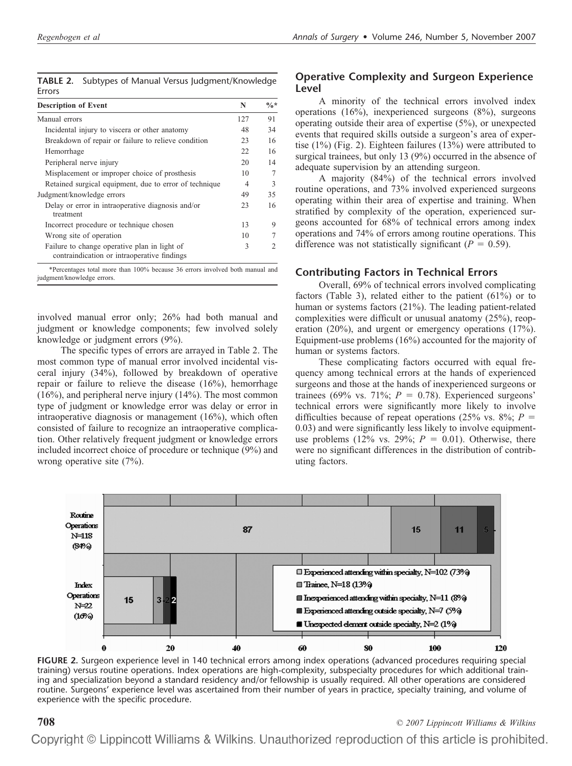**TABLE 2.** Subtypes of Manual Versus Judgment/Knowledge Errors

| <b>Description of Event</b>                                                                 |     | $\frac{0}{6}$ * |
|---------------------------------------------------------------------------------------------|-----|-----------------|
| Manual errors                                                                               | 127 | 91              |
| Incidental injury to viscera or other anatomy                                               | 48  | 34              |
| Breakdown of repair or failure to relieve condition                                         |     | 16              |
| Hemorrhage                                                                                  | 22  | 16              |
| Peripheral nerve injury                                                                     | 20  | 14              |
| Misplacement or improper choice of prosthesis                                               |     | 7               |
| Retained surgical equipment, due to error of technique                                      |     | 3               |
| Judgment/knowledge errors                                                                   | 49  | 35              |
| Delay or error in intraoperative diagnosis and/or<br>treatment                              | 23  | 16              |
| Incorrect procedure or technique chosen                                                     | 13  | 9               |
| Wrong site of operation                                                                     |     |                 |
| Failure to change operative plan in light of<br>contraindication or intraoperative findings | 3   |                 |

\*Percentages total more than 100% because 36 errors involved both manual and judgment/knowledge errors.

involved manual error only; 26% had both manual and judgment or knowledge components; few involved solely knowledge or judgment errors (9%).

The specific types of errors are arrayed in Table 2. The most common type of manual error involved incidental visceral injury (34%), followed by breakdown of operative repair or failure to relieve the disease (16%), hemorrhage (16%), and peripheral nerve injury (14%). The most common type of judgment or knowledge error was delay or error in intraoperative diagnosis or management (16%), which often consisted of failure to recognize an intraoperative complication. Other relatively frequent judgment or knowledge errors included incorrect choice of procedure or technique (9%) and wrong operative site (7%).

# **Operative Complexity and Surgeon Experience Level**

A minority of the technical errors involved index operations (16%), inexperienced surgeons (8%), surgeons operating outside their area of expertise (5%), or unexpected events that required skills outside a surgeon's area of expertise (1%) (Fig. 2). Eighteen failures (13%) were attributed to surgical trainees, but only 13 (9%) occurred in the absence of adequate supervision by an attending surgeon.

A majority (84%) of the technical errors involved routine operations, and 73% involved experienced surgeons operating within their area of expertise and training. When stratified by complexity of the operation, experienced surgeons accounted for 68% of technical errors among index operations and 74% of errors among routine operations. This difference was not statistically significant ( $P = 0.59$ ).

# **Contributing Factors in Technical Errors**

Overall, 69% of technical errors involved complicating factors (Table 3), related either to the patient (61%) or to human or systems factors (21%). The leading patient-related complexities were difficult or unusual anatomy (25%), reoperation (20%), and urgent or emergency operations (17%). Equipment-use problems (16%) accounted for the majority of human or systems factors.

These complicating factors occurred with equal frequency among technical errors at the hands of experienced surgeons and those at the hands of inexperienced surgeons or trainees (69% vs. 71%;  $P = 0.78$ ). Experienced surgeons' technical errors were significantly more likely to involve difficulties because of repeat operations (25% vs. 8%;  $P =$ 0.03) and were significantly less likely to involve equipmentuse problems (12% vs. 29%;  $P = 0.01$ ). Otherwise, there were no significant differences in the distribution of contributing factors.



**FIGURE 2.** Surgeon experience level in 140 technical errors among index operations (advanced procedures requiring special training) versus routine operations. Index operations are high-complexity, subspecialty procedures for which additional training and specialization beyond a standard residency and/or fellowship is usually required. All other operations are considered routine. Surgeons' experience level was ascertained from their number of years in practice, specialty training, and volume of experience with the specific procedure.

**708** *© 2007 Lippincott Williams & Wilkins*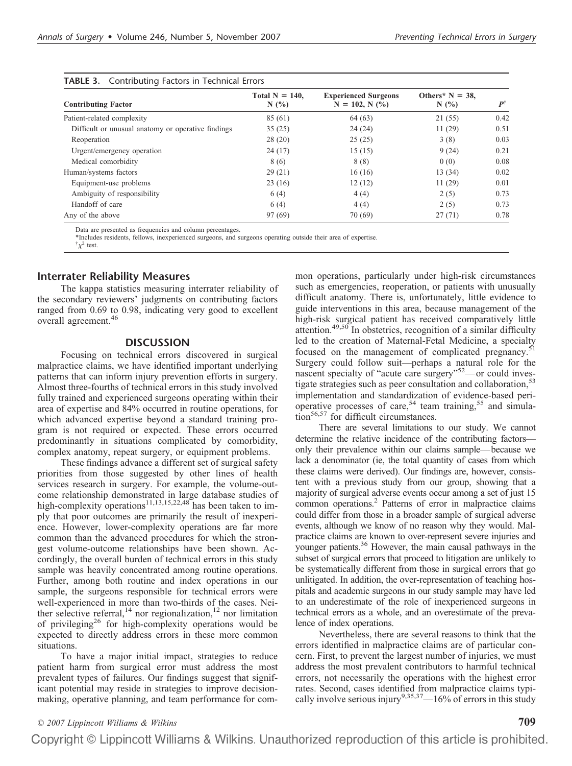| <b>Contributing Factor</b>                         | Total $N = 140$ ,<br>N(%) | <b>Experienced Surgeons</b><br>$N = 102$ , N $(\% )$ | Others* $N = 38$ ,<br>N(% | $P^{\dagger}$ |
|----------------------------------------------------|---------------------------|------------------------------------------------------|---------------------------|---------------|
| Patient-related complexity                         | 85 (61)                   | 64(63)                                               | 21(55)                    | 0.42          |
| Difficult or unusual anatomy or operative findings | 35(25)                    | 24(24)                                               | 11 (29)                   | 0.51          |
| Reoperation                                        | 28(20)                    | 25(25)                                               | 3(8)                      | 0.03          |
| Urgent/emergency operation                         | 24(17)                    | 15(15)                                               | 9(24)                     | 0.21          |
| Medical comorbidity                                | 8 (6)                     | 8(8)                                                 | 0(0)                      | 0.08          |
| Human/systems factors                              | 29(21)                    | 16(16)                                               | 13 (34)                   | 0.02          |
| Equipment-use problems                             | 23(16)                    | 12(12)                                               | 11(29)                    | 0.01          |
| Ambiguity of responsibility                        | 6(4)                      | 4(4)                                                 | 2(5)                      | 0.73          |
| Handoff of care                                    | 6(4)                      | 4(4)                                                 | 2(5)                      | 0.73          |
| Any of the above                                   | 97 (69)                   | 70 (69)                                              | 27(71)                    | 0.78          |

| Contributing Factors in Technical Errors<br>TABLE 3. |  |  |
|------------------------------------------------------|--|--|
|------------------------------------------------------|--|--|

Data are presented as frequencies and column percentages.

\*Includes residents, fellows, inexperienced surgeons, and surgeons operating outside their area of expertise.

 $\sqrt[+]{\chi^2}$  test.

#### **Interrater Reliability Measures**

The kappa statistics measuring interrater reliability of the secondary reviewers' judgments on contributing factors ranged from 0.69 to 0.98, indicating very good to excellent overall agreement.46

#### **DISCUSSION**

Focusing on technical errors discovered in surgical malpractice claims, we have identified important underlying patterns that can inform injury prevention efforts in surgery. Almost three-fourths of technical errors in this study involved fully trained and experienced surgeons operating within their area of expertise and 84% occurred in routine operations, for which advanced expertise beyond a standard training program is not required or expected. These errors occurred predominantly in situations complicated by comorbidity, complex anatomy, repeat surgery, or equipment problems.

These findings advance a different set of surgical safety priorities from those suggested by other lines of health services research in surgery. For example, the volume-outcome relationship demonstrated in large database studies of high-complexity operations<sup>11,13,15,22,48</sup> has been taken to imply that poor outcomes are primarily the result of inexperience. However, lower-complexity operations are far more common than the advanced procedures for which the strongest volume-outcome relationships have been shown. Accordingly, the overall burden of technical errors in this study sample was heavily concentrated among routine operations. Further, among both routine and index operations in our sample, the surgeons responsible for technical errors were well-experienced in more than two-thirds of the cases. Neither selective referral, $14$  nor regionalization, $12$  nor limitation of privileging<sup>26</sup> for high-complexity operations would be expected to directly address errors in these more common situations.

To have a major initial impact, strategies to reduce patient harm from surgical error must address the most prevalent types of failures. Our findings suggest that significant potential may reside in strategies to improve decisionmaking, operative planning, and team performance for common operations, particularly under high-risk circumstances such as emergencies, reoperation, or patients with unusually difficult anatomy. There is, unfortunately, little evidence to guide interventions in this area, because management of the high-risk surgical patient has received comparatively little attention.<sup>49,50</sup> In obstetrics, recognition of a similar difficulty led to the creation of Maternal-Fetal Medicine, a specialty focused on the management of complicated pregnancy.<sup>51</sup> Surgery could follow suit—perhaps a natural role for the nascent specialty of "acute care surgery"<sup>52</sup>—or could investigate strategies such as peer consultation and collaboration,<sup>53</sup> implementation and standardization of evidence-based perioperative processes of care,<sup>54</sup> team training,<sup>55</sup> and simulation<sup>56,57</sup> for difficult circumstances.

There are several limitations to our study. We cannot determine the relative incidence of the contributing factors only their prevalence within our claims sample—because we lack a denominator (ie, the total quantity of cases from which these claims were derived). Our findings are, however, consistent with a previous study from our group, showing that a majority of surgical adverse events occur among a set of just 15 common operations.2 Patterns of error in malpractice claims could differ from those in a broader sample of surgical adverse events, although we know of no reason why they would. Malpractice claims are known to over-represent severe injuries and younger patients.<sup>36</sup> However, the main causal pathways in the subset of surgical errors that proceed to litigation are unlikely to be systematically different from those in surgical errors that go unlitigated. In addition, the over-representation of teaching hospitals and academic surgeons in our study sample may have led to an underestimate of the role of inexperienced surgeons in technical errors as a whole, and an overestimate of the prevalence of index operations.

Nevertheless, there are several reasons to think that the errors identified in malpractice claims are of particular concern. First, to prevent the largest number of injuries, we must address the most prevalent contributors to harmful technical errors, not necessarily the operations with the highest error rates. Second, cases identified from malpractice claims typically involve serious injury<sup>9,35,37</sup> $-16\%$  of errors in this study

#### *© 2007 Lippincott Williams & Wilkins* **709**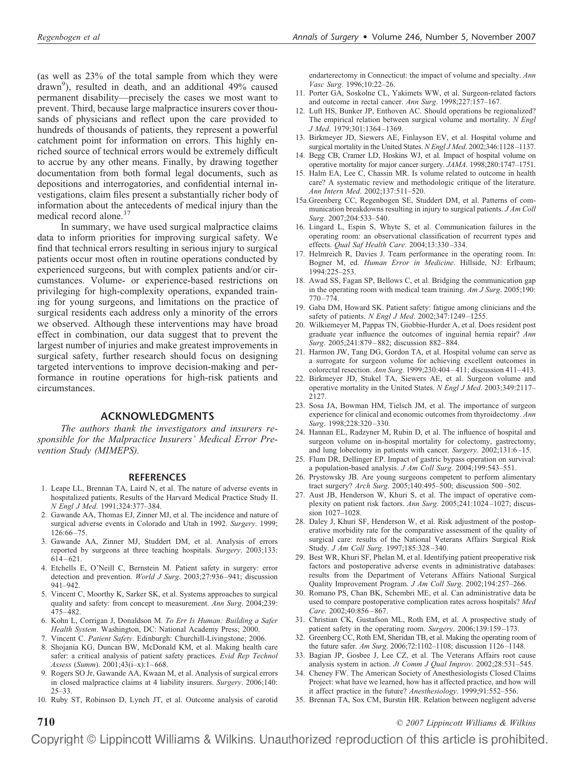(as well as 23% of the total sample from which they were drawn<sup>9</sup>), resulted in death, and an additional 49% caused permanent disability—precisely the cases we most want to prevent. Third, because large malpractice insurers cover thousands of physicians and reflect upon the care provided to hundreds of thousands of patients, they represent a powerful catchment point for information on errors. This highly enriched source of technical errors would be extremely difficult to accrue by any other means. Finally, by drawing together documentation from both formal legal documents, such as depositions and interrogatories, and confidential internal investigations, claim files present a substantially richer body of information about the antecedents of medical injury than the medical record alone.<sup>37</sup>

In summary, we have used surgical malpractice claims data to inform priorities for improving surgical safety. We find that technical errors resulting in serious injury to surgical patients occur most often in routine operations conducted by experienced surgeons, but with complex patients and/or circumstances. Volume- or experience-based restrictions on privileging for high-complexity operations, expanded training for young surgeons, and limitations on the practice of surgical residents each address only a minority of the errors we observed. Although these interventions may have broad effect in combination, our data suggest that to prevent the largest number of injuries and make greatest improvements in surgical safety, further research should focus on designing targeted interventions to improve decision-making and performance in routine operations for high-risk patients and circumstances.

#### **ACKNOWLEDGMENTS**

*The authors thank the investigators and insurers responsible for the Malpractice Insurers' Medical Error Prevention Study (MIMEPS).*

#### **REFERENCES**

- 1. Leape LL, Brennan TA, Laird N, et al. The nature of adverse events in hospitalized patients. Results of the Harvard Medical Practice Study II. *N Engl J Med*. 1991;324:377–384.
- 2. Gawande AA, Thomas EJ, Zinner MJ, et al. The incidence and nature of surgical adverse events in Colorado and Utah in 1992. *Surgery*. 1999; 126:66–75.
- 3. Gawande AA, Zinner MJ, Studdert DM, et al. Analysis of errors reported by surgeons at three teaching hospitals. *Surgery*. 2003;133: 614–621.
- 4. Etchells E, O'Neill C, Bernstein M. Patient safety in surgery: error detection and prevention. *World J Surg*. 2003;27:936–941; discussion 941–942.
- 5. Vincent C, Moorthy K, Sarker SK, et al. Systems approaches to surgical quality and safety: from concept to measurement. *Ann Surg*. 2004;239: 475–482.
- 6. Kohn L, Corrigan J, Donaldson M. *To Err Is Human: Building a Safer Health System*. Washington, DC: National Academy Press; 2000.
- 7. Vincent C. *Patient Safety*. Edinburgh: Churchill-Livingstone; 2006.
- 8. Shojania KG, Duncan BW, McDonald KM, et al. Making health care safer: a critical analysis of patient safety practices. *Evid Rep Technol Assess* (*Summ*). 2001;43(i–x):1–668.
- 9. Rogers SO Jr, Gawande AA, Kwaan M, et al. Analysis of surgical errors in closed malpractice claims at 4 liability insurers. *Surgery*. 2006;140: 25–33.
- 10. Ruby ST, Robinson D, Lynch JT, et al. Outcome analysis of carotid

endarterectomy in Connecticut: the impact of volume and specialty. *Ann Vasc Surg*. 1996;10:22–26.

- 11. Porter GA, Soskolne CL, Yakimets WW, et al. Surgeon-related factors and outcome in rectal cancer. *Ann Surg*. 1998;227:157–167.
- 12. Luft HS, Bunker JP, Enthoven AC. Should operations be regionalized? The empirical relation between surgical volume and mortality. *N Engl J Med*. 1979;301:1364–1369.
- 13. Birkmeyer JD, Siewers AE, Finlayson EV, et al. Hospital volume and surgical mortality in the United States. *N Engl J Med*. 2002;346:1128–1137.
- 14. Begg CB, Cramer LD, Hoskins WJ, et al. Impact of hospital volume on operative mortality for major cancer surgery. *JAMA*. 1998;280:1747–1751.
- 15. Halm EA, Lee C, Chassin MR. Is volume related to outcome in health care? A systematic review and methodologic critique of the literature. *Ann Intern Med*. 2002;137:511–520.
- 15a.Greenberg CC, Regenbogen SE, Studdert DM, et al. Patterns of communication breakdowns resulting in injury to surgical patients. *J Am Coll Surg*. 2007;204:533–540.
- 16. Lingard L, Espin S, Whyte S, et al. Communication failures in the operating room: an observational classification of recurrent types and effects. *Qual Saf Health Care*. 2004;13:330–334.
- 17. Helmreich R, Davies J. Team performance in the operating room. In: Bogner M, ed. *Human Error in Medicine*. Hillside, NJ: Erlbaum; 1994:225–253.
- 18. Awad SS, Fagan SP, Bellows C, et al. Bridging the communication gap in the operating room with medical team training. *Am J Surg*. 2005;190: 770–774.
- 19. Gaba DM, Howard SK. Patient safety: fatigue among clinicians and the safety of patients. *N Engl J Med*. 2002;347:1249–1255.
- 20. Wilkiemeyer M, Pappas TN, Giobbie-Hurder A, et al. Does resident post graduate year influence the outcomes of inguinal hernia repair? *Ann Surg*. 2005;241:879–882; discussion 882–884.
- 21. Harmon JW, Tang DG, Gordon TA, et al. Hospital volume can serve as a surrogate for surgeon volume for achieving excellent outcomes in colorectal resection. *Ann Surg*. 1999;230:404–411; discussion 411–413.
- 22. Birkmeyer JD, Stukel TA, Siewers AE, et al. Surgeon volume and operative mortality in the United States. *N Engl J Med*. 2003;349:2117– 2127.
- 23. Sosa JA, Bowman HM, Tielsch JM, et al. The importance of surgeon experience for clinical and economic outcomes from thyroidectomy. *Ann Surg*. 1998;228:320–330.
- 24. Hannan EL, Radzyner M, Rubin D, et al. The influence of hospital and surgeon volume on in-hospital mortality for colectomy, gastrectomy, and lung lobectomy in patients with cancer. *Surgery*. 2002;131:6–15.
- 25. Flum DR, Dellinger EP. Impact of gastric bypass operation on survival: a population-based analysis. *J Am Coll Surg*. 2004;199:543–551.
- 26. Prystowsky JB. Are young surgeons competent to perform alimentary tract surgery? *Arch Surg*. 2005;140:495–500; discussion 500–502.
- 27. Aust JB, Henderson W, Khuri S, et al. The impact of operative complexity on patient risk factors. *Ann Surg*. 2005;241:1024–1027; discussion 1027–1028.
- 28. Daley J, Khuri SF, Henderson W, et al. Risk adjustment of the postoperative morbidity rate for the comparative assessment of the quality of surgical care: results of the National Veterans Affairs Surgical Risk Study. *J Am Coll Surg*. 1997;185:328–340.
- 29. Best WR, Khuri SF, Phelan M, et al. Identifying patient preoperative risk factors and postoperative adverse events in administrative databases: results from the Department of Veterans Affairs National Surgical Quality Improvement Program. *J Am Coll Surg*. 2002;194:257–266.
- 30. Romano PS, Chan BK, Schembri ME, et al. Can administrative data be used to compare postoperative complication rates across hospitals? *Med Care*. 2002;40:856–867.
- 31. Christian CK, Gustafson ML, Roth EM, et al. A prospective study of patient safety in the operating room. *Surgery*. 2006;139:159–173.
- 32. Greenberg CC, Roth EM, Sheridan TB, et al. Making the operating room of the future safer. *Am Surg*. 2006;72:1102–1108; discussion 1126–1148.
- 33. Bagian JP, Gosbee J, Lee CZ, et al. The Veterans Affairs root cause analysis system in action. *Jt Comm J Qual Improv*. 2002;28:531–545.
- 34. Cheney FW. The American Society of Anesthesiologists Closed Claims Project: what have we learned, how has it affected practice, and how will it affect practice in the future? *Anesthesiology*. 1999;91:552–556.
- 35. Brennan TA, Sox CM, Burstin HR. Relation between negligent adverse

# **710** *© 2007 Lippincott Williams & Wilkins*